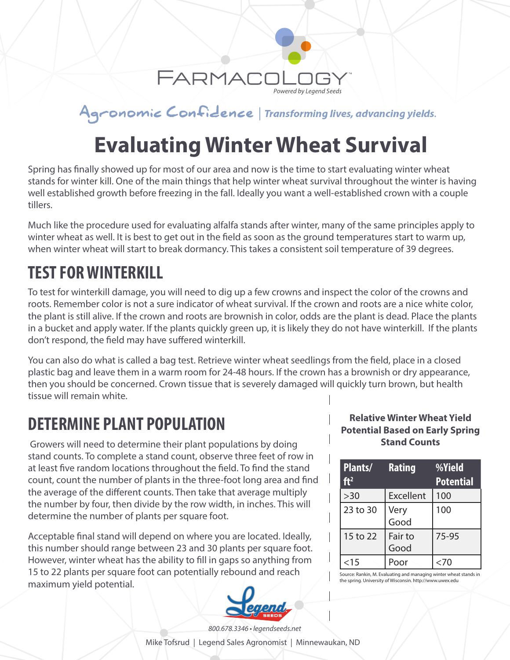

Agronomic Confidence | Transforming lives, advancing yields.

## **Evaluating Winter Wheat Survival**

Spring has finally showed up for most of our area and now is the time to start evaluating winter wheat stands for winter kill. One of the main things that help winter wheat survival throughout the winter is having well established growth before freezing in the fall. Ideally you want a well-established crown with a couple tillers.

Much like the procedure used for evaluating alfalfa stands after winter, many of the same principles apply to winter wheat as well. It is best to get out in the field as soon as the ground temperatures start to warm up, when winter wheat will start to break dormancy. This takes a consistent soil temperature of 39 degrees.

## **TEST FOR WINTERKILL**

To test for winterkill damage, you will need to dig up a few crowns and inspect the color of the crowns and roots. Remember color is not a sure indicator of wheat survival. If the crown and roots are a nice white color, the plant is still alive. If the crown and roots are brownish in color, odds are the plant is dead. Place the plants in a bucket and apply water. If the plants quickly green up, it is likely they do not have winterkill. If the plants don't respond, the field may have suffered winterkill.

You can also do what is called a bag test. Retrieve winter wheat seedlings from the field, place in a closed plastic bag and leave them in a warm room for 24-48 hours. If the crown has a brownish or dry appearance, then you should be concerned. Crown tissue that is severely damaged will quickly turn brown, but health tissue will remain white.

### **DETERMINE PLANT POPULATION**

 Growers will need to determine their plant populations by doing stand counts. To complete a stand count, observe three feet of row in at least five random locations throughout the field. To find the stand count, count the number of plants in the three-foot long area and find the average of the different counts. Then take that average multiply the number by four, then divide by the row width, in inches. This will determine the number of plants per square foot.

Acceptable final stand will depend on where you are located. Ideally, this number should range between 23 and 30 plants per square foot. However, winter wheat has the ability to fill in gaps so anything from 15 to 22 plants per square foot can potentially rebound and reach maximum yield potential.



#### **Relative Winter Wheat Yield Potential Based on Early Spring Stand Counts**

| Plants/<br>ft <sup>2</sup> | <b>Rating</b>   | %Yield<br><b>Potential</b> |
|----------------------------|-----------------|----------------------------|
| >30                        | Excellent       | 100                        |
| 23 to 30                   | Very<br>Good    | 100                        |
| 15 to 22                   | Fair to<br>Good | 75-95                      |
| $<$ 15                     |                 |                            |

Source: Rankin, M. Evaluating and managing winter wheat stands in the spring. University of Wisconsin. http://www.uwex.edu

*800.678.3346 • legendseeds.net* Mike Tofsrud | Legend Sales Agronomist | Minnewaukan, ND